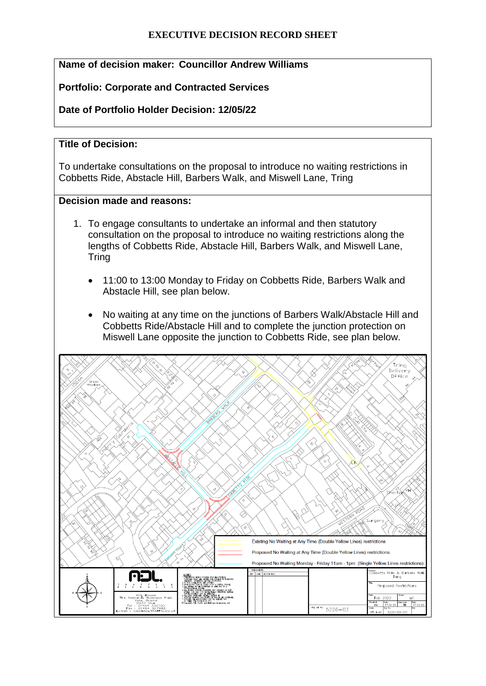### **EXECUTIVE DECISION RECORD SHEET**

# **Name of decision maker: Councillor Andrew Williams**

### **Portfolio: Corporate and Contracted Services**

## **Date of Portfolio Holder Decision: 12/05/22**

### **Title of Decision:**

To undertake consultations on the proposal to introduce no waiting restrictions in Cobbetts Ride, Abstacle Hill, Barbers Walk, and Miswell Lane, Tring

#### **Decision made and reasons:**

- 1. To engage consultants to undertake an informal and then statutory consultation on the proposal to introduce no waiting restrictions along the lengths of Cobbetts Ride, Abstacle Hill, Barbers Walk, and Miswell Lane, **Tring** 
	- 11:00 to 13:00 Monday to Friday on Cobbetts Ride, Barbers Walk and Abstacle Hill, see plan below.
	- No waiting at any time on the junctions of Barbers Walk/Abstacle Hill and Cobbetts Ride/Abstacle Hill and to complete the junction protection on Miswell Lane opposite the junction to Cobbetts Ride, see plan below.

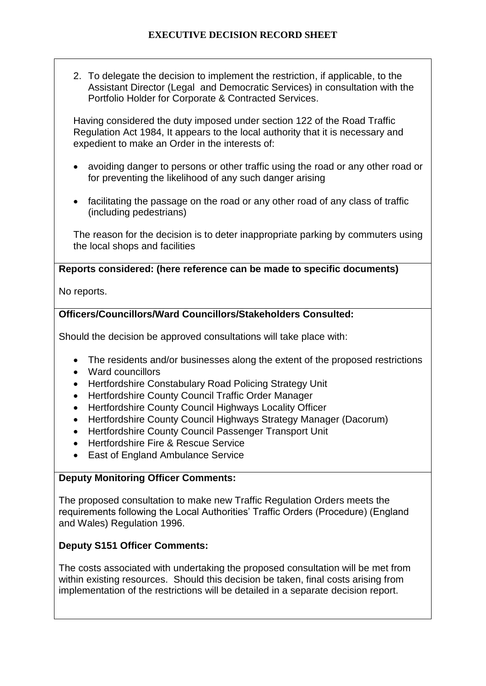2. To delegate the decision to implement the restriction, if applicable, to the Assistant Director (Legal and Democratic Services) in consultation with the Portfolio Holder for Corporate & Contracted Services.

Having considered the duty imposed under section 122 of the Road Traffic Regulation Act 1984, It appears to the local authority that it is necessary and expedient to make an Order in the interests of:

- avoiding danger to persons or other traffic using the road or any other road or for preventing the likelihood of any such danger arising
- facilitating the passage on the road or any other road of any class of traffic (including pedestrians)

The reason for the decision is to deter inappropriate parking by commuters using the local shops and facilities

### **Reports considered: (here reference can be made to specific documents)**

No reports.

# **Officers/Councillors/Ward Councillors/Stakeholders Consulted:**

Should the decision be approved consultations will take place with:

- The residents and/or businesses along the extent of the proposed restrictions
- Ward councillors
- Hertfordshire Constabulary Road Policing Strategy Unit
- Hertfordshire County Council Traffic Order Manager
- Hertfordshire County Council Highways Locality Officer
- Hertfordshire County Council Highways Strategy Manager (Dacorum)
- Hertfordshire County Council Passenger Transport Unit
- Hertfordshire Fire & Rescue Service
- East of England Ambulance Service

### **Deputy Monitoring Officer Comments:**

The proposed consultation to make new Traffic Regulation Orders meets the requirements following the Local Authorities' Traffic Orders (Procedure) (England and Wales) Regulation 1996.

# **Deputy S151 Officer Comments:**

The costs associated with undertaking the proposed consultation will be met from within existing resources. Should this decision be taken, final costs arising from implementation of the restrictions will be detailed in a separate decision report.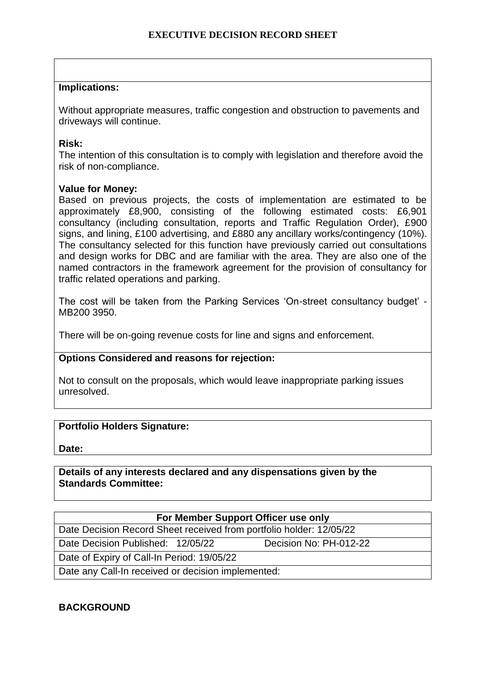### **Implications:**

Without appropriate measures, traffic congestion and obstruction to pavements and driveways will continue.

#### **Risk:**

The intention of this consultation is to comply with legislation and therefore avoid the risk of non-compliance.

#### **Value for Money:**

Based on previous projects, the costs of implementation are estimated to be approximately £8,900, consisting of the following estimated costs: £6,901 consultancy (including consultation, reports and Traffic Regulation Order), £900 signs, and lining, £100 advertising, and £880 any ancillary works/contingency (10%). The consultancy selected for this function have previously carried out consultations and design works for DBC and are familiar with the area. They are also one of the named contractors in the framework agreement for the provision of consultancy for traffic related operations and parking.

The cost will be taken from the Parking Services 'On-street consultancy budget' - MB200 3950.

There will be on-going revenue costs for line and signs and enforcement.

### **Options Considered and reasons for rejection:**

Not to consult on the proposals, which would leave inappropriate parking issues unresolved.

### **Portfolio Holders Signature:**

**Date:**

### **Details of any interests declared and any dispensations given by the Standards Committee:**

| For Member Support Officer use only                                 |  |                        |  |
|---------------------------------------------------------------------|--|------------------------|--|
| Date Decision Record Sheet received from portfolio holder: 12/05/22 |  |                        |  |
| Date Decision Published: 12/05/22                                   |  | Decision No: PH-012-22 |  |
| Date of Expiry of Call-In Period: 19/05/22                          |  |                        |  |
| Date any Call-In received or decision implemented:                  |  |                        |  |

### **BACKGROUND**